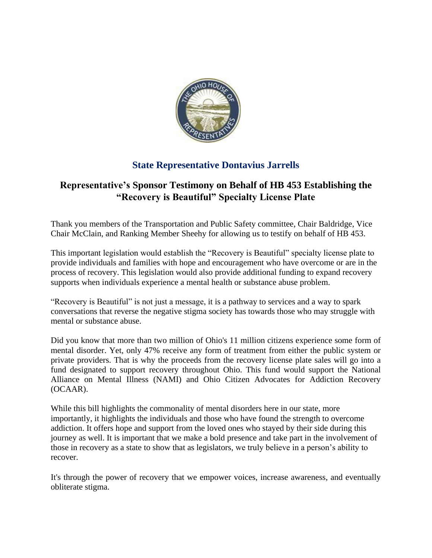

## **State Representative Dontavius Jarrells**

## **Representative's Sponsor Testimony on Behalf of HB 453 Establishing the "Recovery is Beautiful" Specialty License Plate**

Thank you members of the Transportation and Public Safety committee, Chair Baldridge, Vice Chair McClain, and Ranking Member Sheehy for allowing us to testify on behalf of HB 453.

This important legislation would establish the "Recovery is Beautiful" specialty license plate to provide individuals and families with hope and encouragement who have overcome or are in the process of recovery. This legislation would also provide additional funding to expand recovery supports when individuals experience a mental health or substance abuse problem.

"Recovery is Beautiful" is not just a message, it is a pathway to services and a way to spark conversations that reverse the negative stigma society has towards those who may struggle with mental or substance abuse.

Did you know that more than two million of Ohio's 11 million citizens experience some form of mental disorder. Yet, only 47% receive any form of treatment from either the public system or private providers. That is why the proceeds from the recovery license plate sales will go into a fund designated to support recovery throughout Ohio. This fund would support the National Alliance on Mental Illness (NAMI) and Ohio Citizen Advocates for Addiction Recovery (OCAAR).

While this bill highlights the commonality of mental disorders here in our state, more importantly, it highlights the individuals and those who have found the strength to overcome addiction. It offers hope and support from the loved ones who stayed by their side during this journey as well. It is important that we make a bold presence and take part in the involvement of those in recovery as a state to show that as legislators, we truly believe in a person's ability to recover.

It's through the power of recovery that we empower voices, increase awareness, and eventually obliterate stigma.